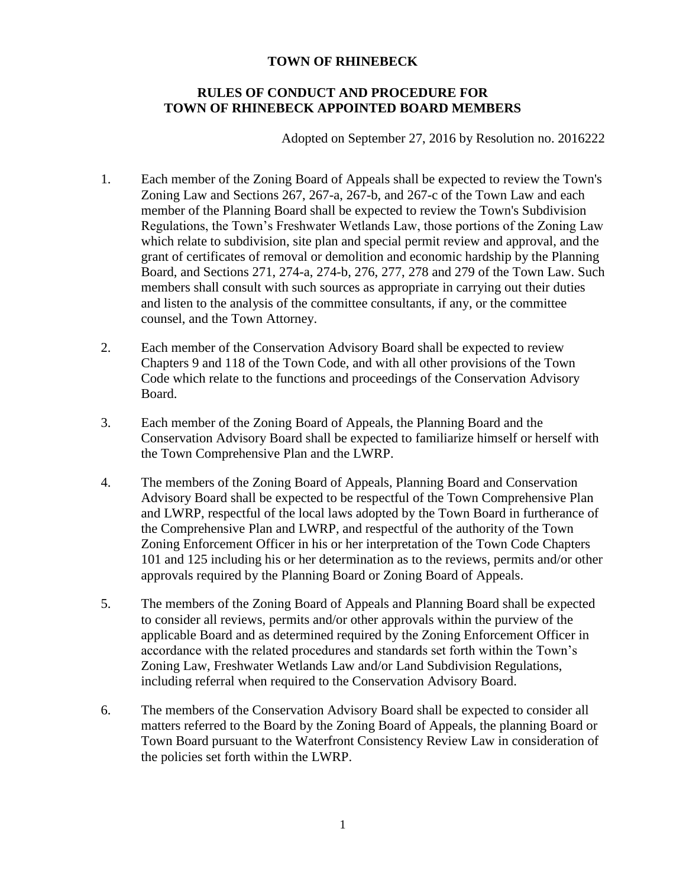# **RULES OF CONDUCT AND PROCEDURE FOR TOWN OF RHINEBECK APPOINTED BOARD MEMBERS**

Adopted on September 27, 2016 by Resolution no. 2016222

- 1. Each member of the Zoning Board of Appeals shall be expected to review the Town's Zoning Law and Sections 267, 267-a, 267-b, and 267-c of the Town Law and each member of the Planning Board shall be expected to review the Town's Subdivision Regulations, the Town's Freshwater Wetlands Law, those portions of the Zoning Law which relate to subdivision, site plan and special permit review and approval, and the grant of certificates of removal or demolition and economic hardship by the Planning Board, and Sections 271, 274-a, 274-b, 276, 277, 278 and 279 of the Town Law. Such members shall consult with such sources as appropriate in carrying out their duties and listen to the analysis of the committee consultants, if any, or the committee counsel, and the Town Attorney.
- 2. Each member of the Conservation Advisory Board shall be expected to review Chapters 9 and 118 of the Town Code, and with all other provisions of the Town Code which relate to the functions and proceedings of the Conservation Advisory Board.
- 3. Each member of the Zoning Board of Appeals, the Planning Board and the Conservation Advisory Board shall be expected to familiarize himself or herself with the Town Comprehensive Plan and the LWRP.
- 4. The members of the Zoning Board of Appeals, Planning Board and Conservation Advisory Board shall be expected to be respectful of the Town Comprehensive Plan and LWRP, respectful of the local laws adopted by the Town Board in furtherance of the Comprehensive Plan and LWRP, and respectful of the authority of the Town Zoning Enforcement Officer in his or her interpretation of the Town Code Chapters 101 and 125 including his or her determination as to the reviews, permits and/or other approvals required by the Planning Board or Zoning Board of Appeals.
- 5. The members of the Zoning Board of Appeals and Planning Board shall be expected to consider all reviews, permits and/or other approvals within the purview of the applicable Board and as determined required by the Zoning Enforcement Officer in accordance with the related procedures and standards set forth within the Town's Zoning Law, Freshwater Wetlands Law and/or Land Subdivision Regulations, including referral when required to the Conservation Advisory Board.
- 6. The members of the Conservation Advisory Board shall be expected to consider all matters referred to the Board by the Zoning Board of Appeals, the planning Board or Town Board pursuant to the Waterfront Consistency Review Law in consideration of the policies set forth within the LWRP.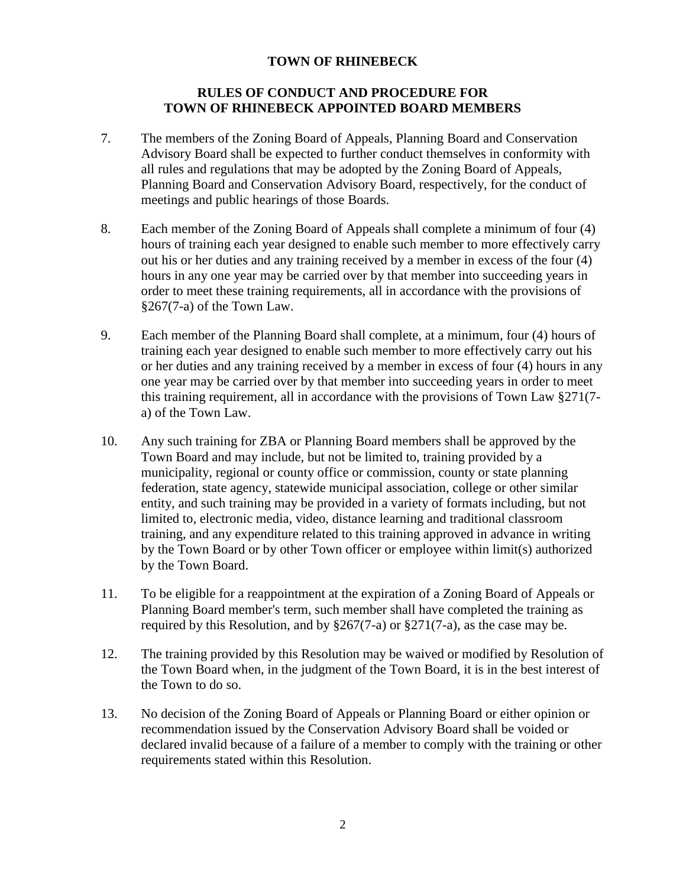# **RULES OF CONDUCT AND PROCEDURE FOR TOWN OF RHINEBECK APPOINTED BOARD MEMBERS**

- 7. The members of the Zoning Board of Appeals, Planning Board and Conservation Advisory Board shall be expected to further conduct themselves in conformity with all rules and regulations that may be adopted by the Zoning Board of Appeals, Planning Board and Conservation Advisory Board, respectively, for the conduct of meetings and public hearings of those Boards.
- 8. Each member of the Zoning Board of Appeals shall complete a minimum of four (4) hours of training each year designed to enable such member to more effectively carry out his or her duties and any training received by a member in excess of the four (4) hours in any one year may be carried over by that member into succeeding years in order to meet these training requirements, all in accordance with the provisions of §267(7-a) of the Town Law.
- 9. Each member of the Planning Board shall complete, at a minimum, four (4) hours of training each year designed to enable such member to more effectively carry out his or her duties and any training received by a member in excess of four (4) hours in any one year may be carried over by that member into succeeding years in order to meet this training requirement, all in accordance with the provisions of Town Law §271(7 a) of the Town Law.
- 10. Any such training for ZBA or Planning Board members shall be approved by the Town Board and may include, but not be limited to, training provided by a municipality, regional or county office or commission, county or state planning federation, state agency, statewide municipal association, college or other similar entity, and such training may be provided in a variety of formats including, but not limited to, electronic media, video, distance learning and traditional classroom training, and any expenditure related to this training approved in advance in writing by the Town Board or by other Town officer or employee within limit(s) authorized by the Town Board.
- 11. To be eligible for a reappointment at the expiration of a Zoning Board of Appeals or Planning Board member's term, such member shall have completed the training as required by this Resolution, and by  $\S267(7-a)$  or  $\S271(7-a)$ , as the case may be.
- 12. The training provided by this Resolution may be waived or modified by Resolution of the Town Board when, in the judgment of the Town Board, it is in the best interest of the Town to do so.
- 13. No decision of the Zoning Board of Appeals or Planning Board or either opinion or recommendation issued by the Conservation Advisory Board shall be voided or declared invalid because of a failure of a member to comply with the training or other requirements stated within this Resolution.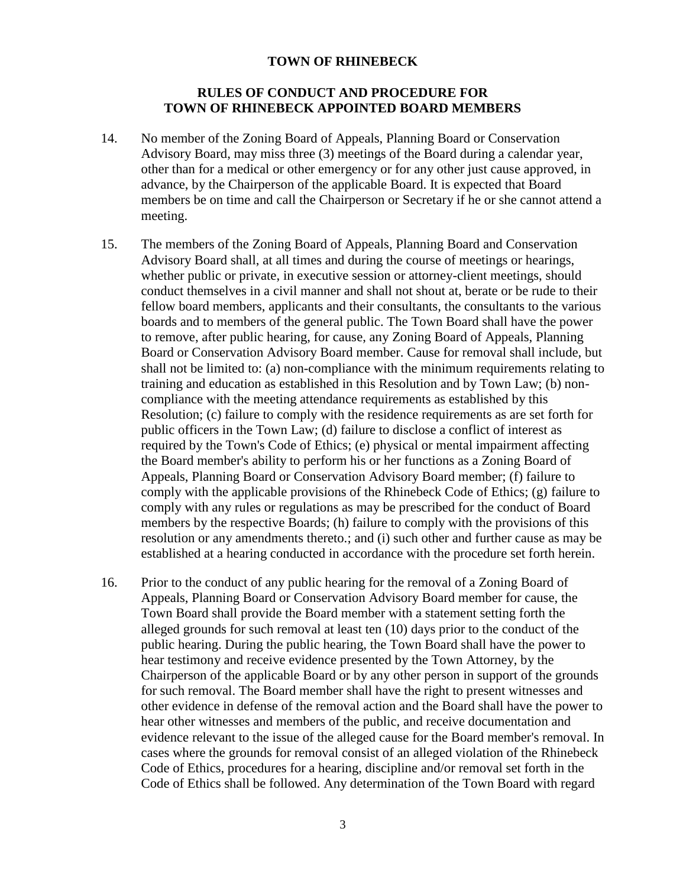### **RULES OF CONDUCT AND PROCEDURE FOR TOWN OF RHINEBECK APPOINTED BOARD MEMBERS**

- 14. No member of the Zoning Board of Appeals, Planning Board or Conservation Advisory Board, may miss three (3) meetings of the Board during a calendar year, other than for a medical or other emergency or for any other just cause approved, in advance, by the Chairperson of the applicable Board. It is expected that Board members be on time and call the Chairperson or Secretary if he or she cannot attend a meeting.
- 15. The members of the Zoning Board of Appeals, Planning Board and Conservation Advisory Board shall, at all times and during the course of meetings or hearings, whether public or private, in executive session or attorney-client meetings, should conduct themselves in a civil manner and shall not shout at, berate or be rude to their fellow board members, applicants and their consultants, the consultants to the various boards and to members of the general public. The Town Board shall have the power to remove, after public hearing, for cause, any Zoning Board of Appeals, Planning Board or Conservation Advisory Board member. Cause for removal shall include, but shall not be limited to: (a) non-compliance with the minimum requirements relating to training and education as established in this Resolution and by Town Law; (b) noncompliance with the meeting attendance requirements as established by this Resolution; (c) failure to comply with the residence requirements as are set forth for public officers in the Town Law; (d) failure to disclose a conflict of interest as required by the Town's Code of Ethics; (e) physical or mental impairment affecting the Board member's ability to perform his or her functions as a Zoning Board of Appeals, Planning Board or Conservation Advisory Board member; (f) failure to comply with the applicable provisions of the Rhinebeck Code of Ethics; (g) failure to comply with any rules or regulations as may be prescribed for the conduct of Board members by the respective Boards; (h) failure to comply with the provisions of this resolution or any amendments thereto.; and (i) such other and further cause as may be established at a hearing conducted in accordance with the procedure set forth herein.
- 16. Prior to the conduct of any public hearing for the removal of a Zoning Board of Appeals, Planning Board or Conservation Advisory Board member for cause, the Town Board shall provide the Board member with a statement setting forth the alleged grounds for such removal at least ten (10) days prior to the conduct of the public hearing. During the public hearing, the Town Board shall have the power to hear testimony and receive evidence presented by the Town Attorney, by the Chairperson of the applicable Board or by any other person in support of the grounds for such removal. The Board member shall have the right to present witnesses and other evidence in defense of the removal action and the Board shall have the power to hear other witnesses and members of the public, and receive documentation and evidence relevant to the issue of the alleged cause for the Board member's removal. In cases where the grounds for removal consist of an alleged violation of the Rhinebeck Code of Ethics, procedures for a hearing, discipline and/or removal set forth in the Code of Ethics shall be followed. Any determination of the Town Board with regard